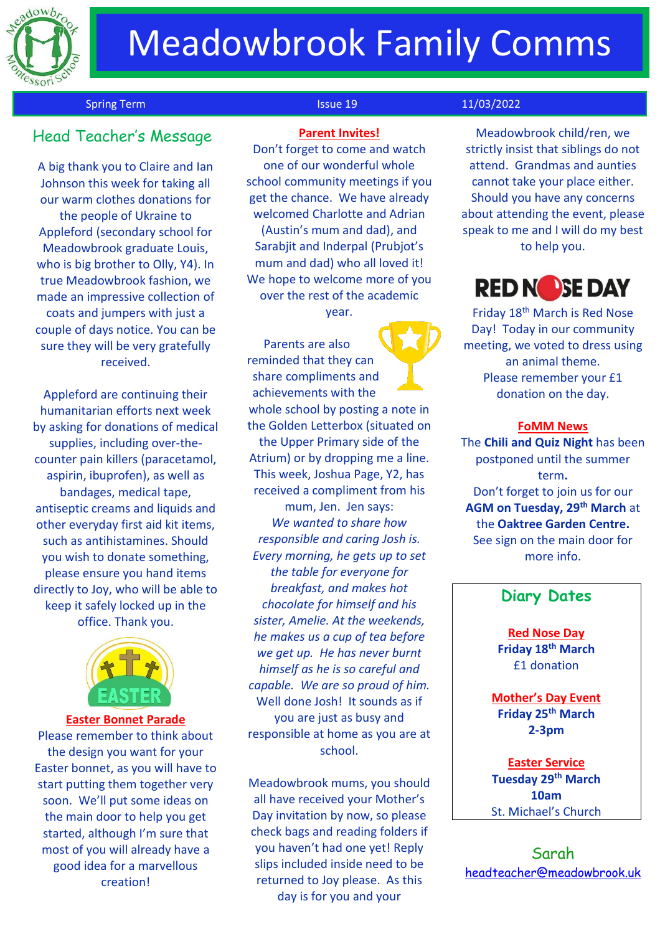

# Meadowbrook Family Comms

## Spring Term **Issue 19** 11/03/2022

## Head Teacher's Messag<sup>e</sup>

A big thank you to Claire and Ian Johnson this week for taking all our warm clothes donations for the people of Ukraine to Appleford (secondary school for Meadowbrook graduate Louis, who is big brother to Olly, Y4). In true Meadowbrook fashion, we made an impressive collection of coats and jumpers with just a couple of days notice. You can be sure they will be very gratefully received.

Appleford are continuing their humanitarian efforts next week by asking for donations of medical supplies, including over-thecounter pain killers (paracetamol, aspirin, ibuprofen), as well as bandages, medical tape, antiseptic creams and liquids and other everyday first aid kit items, such as antihistamines. Should you wish to donate something, please ensure you hand items directly to Joy, who will be able to keep it safely locked up in the office. Thank you.



#### **Easter Bonnet Parade**

Please remember to think about the design you want for your Easter bonnet, as you will have to start putting them together very soon. We'll put some ideas on the main door to help you get started, although I'm sure that most of you will already have a good idea for a marvellous creation!

## **Parent Invites!**

Don't forget to come and watch one of our wonderful whole school community meetings if you get the chance. We have already welcomed Charlotte and Adrian (Austin's mum and dad), and Sarabjit and Inderpal (Prubjot's mum and dad) who all loved it! We hope to welcome more of you over the rest of the academic year.

Parents are also reminded that they can share compliments and achievements with the whole school by posting a note in the Golden Letterbox (situated on the Upper Primary side of the Atrium) or by dropping me a line. This week, Joshua Page, Y2, has received a compliment from his mum, Jen. Jen says: *We wanted to share how responsible and caring Josh is. Every morning, he gets up to set the table for everyone for breakfast, and makes hot chocolate for himself and his sister, Amelie. At the weekends, he makes us a cup of tea before we get up. He has never burnt himself as he is so careful and capable. We are so proud of him.* Well done Josh! It sounds as if you are just as busy and responsible at home as you are at school.

Meadowbrook mums, you should all have received your Mother's Day invitation by now, so please check bags and reading folders if you haven't had one yet! Reply slips included inside need to be returned to Joy please. As this day is for you and your

Meadowbrook child/ren, we strictly insist that siblings do not attend. Grandmas and aunties cannot take your place either. Should you have any concerns about attending the event, please speak to me and I will do my best to help you.



Friday 18th March is Red Nose Day! Today in our community meeting, we voted to dress using an animal theme. Please remember your £1 donation on the day.

#### **FoMM News**

The **Chili and Quiz Night** has been postponed until the summer term**.** Don't forget to join us for our **AGM on Tuesday, 29th March** at the **Oaktree Garden Centre.** See sign on the main door for more info.

## **Diary Dates**

**Red Nose Day Friday 18th March** £1 donation

**Mother's Day Event Friday 25th March 2-3pm**

**Easter Service Tuesday 29th March 10am** St. Michael's Church

Sarah [headteacher@meadowbrook.uk](mailto:headteacher@meadowbrook.uk)